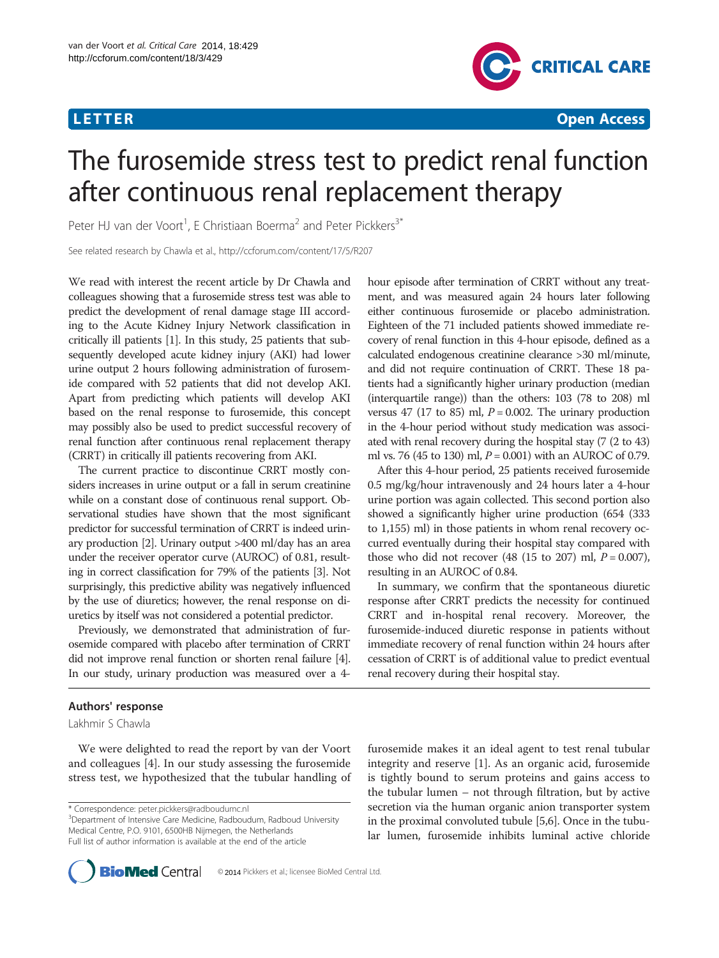

# The furosemide stress test to predict renal function after continuous renal replacement therapy

Peter HJ van der Voort<sup>1</sup>, E Christiaan Boerma<sup>2</sup> and Peter Pickkers<sup>3\*</sup>

See related research by Chawla et al., http://ccforum.com/content/17/5/R207

We read with interest the recent article by Dr Chawla and colleagues showing that a furosemide stress test was able to predict the development of renal damage stage III according to the Acute Kidney Injury Network classification in critically ill patients [\[1\]](#page-1-0). In this study, 25 patients that subsequently developed acute kidney injury (AKI) had lower urine output 2 hours following administration of furosemide compared with 52 patients that did not develop AKI. Apart from predicting which patients will develop AKI based on the renal response to furosemide, this concept may possibly also be used to predict successful recovery of renal function after continuous renal replacement therapy (CRRT) in critically ill patients recovering from AKI.

The current practice to discontinue CRRT mostly considers increases in urine output or a fall in serum creatinine while on a constant dose of continuous renal support. Observational studies have shown that the most significant predictor for successful termination of CRRT is indeed urinary production [\[2\]](#page-1-0). Urinary output >400 ml/day has an area under the receiver operator curve (AUROC) of 0.81, resulting in correct classification for 79% of the patients [\[3](#page-1-0)]. Not surprisingly, this predictive ability was negatively influenced by the use of diuretics; however, the renal response on diuretics by itself was not considered a potential predictor.

Previously, we demonstrated that administration of furosemide compared with placebo after termination of CRRT did not improve renal function or shorten renal failure [\[4](#page-1-0)]. In our study, urinary production was measured over a 4-

## Authors' response

Lakhmir S Chawla

We were delighted to read the report by van der Voort and colleagues [[4](#page-1-0)]. In our study assessing the furosemide stress test, we hypothesized that the tubular handling of

\* Correspondence: [peter.pickkers@radboudumc.nl](mailto:peter.pickkers@radboudumc.nl) <sup>3</sup>

hour episode after termination of CRRT without any treatment, and was measured again 24 hours later following either continuous furosemide or placebo administration. Eighteen of the 71 included patients showed immediate recovery of renal function in this 4-hour episode, defined as a calculated endogenous creatinine clearance >30 ml/minute, and did not require continuation of CRRT. These 18 patients had a significantly higher urinary production (median (interquartile range)) than the others: 103 (78 to 208) ml versus 47 (17 to 85) ml,  $P = 0.002$ . The urinary production in the 4-hour period without study medication was associated with renal recovery during the hospital stay (7 (2 to 43) ml vs. 76 (45 to 130) ml,  $P = 0.001$ ) with an AUROC of 0.79.

After this 4-hour period, 25 patients received furosemide 0.5 mg/kg/hour intravenously and 24 hours later a 4-hour urine portion was again collected. This second portion also showed a significantly higher urine production (654 (333 to 1,155) ml) in those patients in whom renal recovery occurred eventually during their hospital stay compared with those who did not recover  $(48 (15 to 207)$  ml,  $P = 0.007$ ), resulting in an AUROC of 0.84.

In summary, we confirm that the spontaneous diuretic response after CRRT predicts the necessity for continued CRRT and in-hospital renal recovery. Moreover, the furosemide-induced diuretic response in patients without immediate recovery of renal function within 24 hours after cessation of CRRT is of additional value to predict eventual renal recovery during their hospital stay.

furosemide makes it an ideal agent to test renal tubular integrity and reserve [\[1](#page-1-0)]. As an organic acid, furosemide is tightly bound to serum proteins and gains access to the tubular lumen – not through filtration, but by active secretion via the human organic anion transporter system in the proximal convoluted tubule [\[5,6\]](#page-1-0). Once in the tubular lumen, furosemide inhibits luminal active chloride



<sup>&</sup>lt;sup>3</sup>Department of Intensive Care Medicine, Radboudum, Radboud University Medical Centre, P.O. 9101, 6500HB Nijmegen, the Netherlands Full list of author information is available at the end of the article